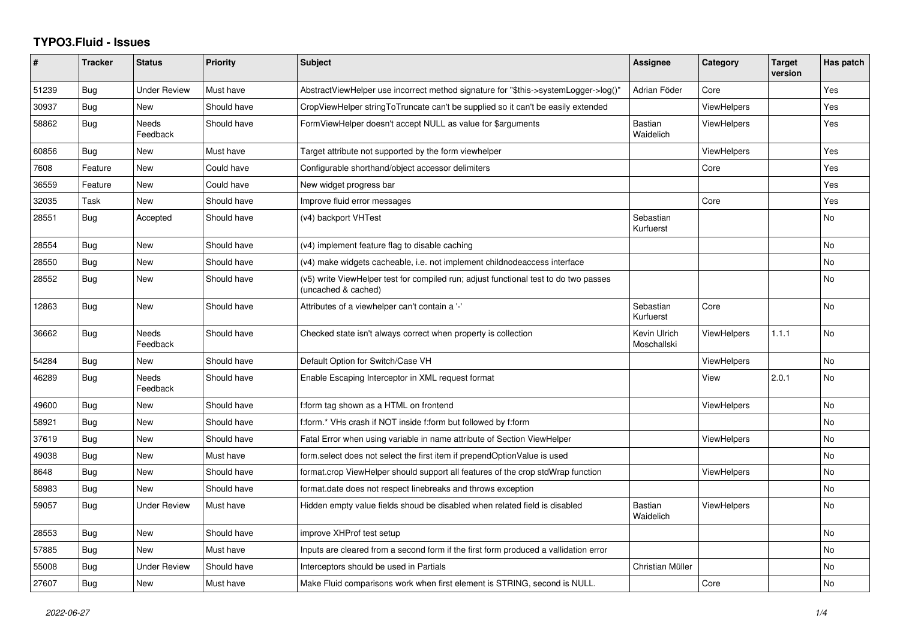## **TYPO3.Fluid - Issues**

| #     | <b>Tracker</b> | <b>Status</b>       | <b>Priority</b> | <b>Subject</b>                                                                                              | Assignee                    | Category           | <b>Target</b><br>version | Has patch |
|-------|----------------|---------------------|-----------------|-------------------------------------------------------------------------------------------------------------|-----------------------------|--------------------|--------------------------|-----------|
| 51239 | Bug            | <b>Under Review</b> | Must have       | AbstractViewHelper use incorrect method signature for "\$this->systemLogger->log()"                         | Adrian Föder                | Core               |                          | Yes       |
| 30937 | <b>Bug</b>     | New                 | Should have     | CropViewHelper stringToTruncate can't be supplied so it can't be easily extended                            |                             | <b>ViewHelpers</b> |                          | Yes       |
| 58862 | <b>Bug</b>     | Needs<br>Feedback   | Should have     | FormViewHelper doesn't accept NULL as value for \$arguments                                                 | Bastian<br>Waidelich        | <b>ViewHelpers</b> |                          | Yes       |
| 60856 | Bug            | New                 | Must have       | Target attribute not supported by the form viewhelper                                                       |                             | <b>ViewHelpers</b> |                          | Yes       |
| 7608  | Feature        | <b>New</b>          | Could have      | Configurable shorthand/object accessor delimiters                                                           |                             | Core               |                          | Yes       |
| 36559 | Feature        | New                 | Could have      | New widget progress bar                                                                                     |                             |                    |                          | Yes       |
| 32035 | Task           | New                 | Should have     | Improve fluid error messages                                                                                |                             | Core               |                          | Yes       |
| 28551 | Bug            | Accepted            | Should have     | (v4) backport VHTest                                                                                        | Sebastian<br>Kurfuerst      |                    |                          | <b>No</b> |
| 28554 | Bug            | <b>New</b>          | Should have     | (v4) implement feature flag to disable caching                                                              |                             |                    |                          | <b>No</b> |
| 28550 | Bug            | <b>New</b>          | Should have     | (v4) make widgets cacheable, i.e. not implement childnodeaccess interface                                   |                             |                    |                          | No        |
| 28552 | <b>Bug</b>     | New                 | Should have     | (v5) write ViewHelper test for compiled run; adjust functional test to do two passes<br>(uncached & cached) |                             |                    |                          | <b>No</b> |
| 12863 | Bug            | <b>New</b>          | Should have     | Attributes of a viewhelper can't contain a '-'                                                              | Sebastian<br>Kurfuerst      | Core               |                          | <b>No</b> |
| 36662 | <b>Bug</b>     | Needs<br>Feedback   | Should have     | Checked state isn't always correct when property is collection                                              | Kevin Ulrich<br>Moschallski | ViewHelpers        | 1.1.1                    | No        |
| 54284 | Bug            | New                 | Should have     | Default Option for Switch/Case VH                                                                           |                             | <b>ViewHelpers</b> |                          | <b>No</b> |
| 46289 | <b>Bug</b>     | Needs<br>Feedback   | Should have     | Enable Escaping Interceptor in XML request format                                                           |                             | View               | 2.0.1                    | <b>No</b> |
| 49600 | <b>Bug</b>     | New                 | Should have     | f:form tag shown as a HTML on frontend                                                                      |                             | <b>ViewHelpers</b> |                          | <b>No</b> |
| 58921 | <b>Bug</b>     | New                 | Should have     | f:form.* VHs crash if NOT inside f:form but followed by f:form                                              |                             |                    |                          | <b>No</b> |
| 37619 | Bug            | New                 | Should have     | Fatal Error when using variable in name attribute of Section ViewHelper                                     |                             | <b>ViewHelpers</b> |                          | No        |
| 49038 | Bug            | New                 | Must have       | form select does not select the first item if prependOptionValue is used                                    |                             |                    |                          | No        |
| 8648  | Bug            | New                 | Should have     | format.crop ViewHelper should support all features of the crop stdWrap function                             |                             | ViewHelpers        |                          | <b>No</b> |
| 58983 | Bug            | New                 | Should have     | format.date does not respect linebreaks and throws exception                                                |                             |                    |                          | No        |
| 59057 | Bug            | <b>Under Review</b> | Must have       | Hidden empty value fields shoud be disabled when related field is disabled                                  | Bastian<br>Waidelich        | ViewHelpers        |                          | <b>No</b> |
| 28553 | Bug            | New                 | Should have     | improve XHProf test setup                                                                                   |                             |                    |                          | <b>No</b> |
| 57885 | Bug            | New                 | Must have       | Inputs are cleared from a second form if the first form produced a vallidation error                        |                             |                    |                          | <b>No</b> |
| 55008 | Bug            | Under Review        | Should have     | Interceptors should be used in Partials                                                                     | Christian Müller            |                    |                          | No        |
| 27607 | Bug            | New                 | Must have       | Make Fluid comparisons work when first element is STRING, second is NULL.                                   |                             | Core               |                          | <b>No</b> |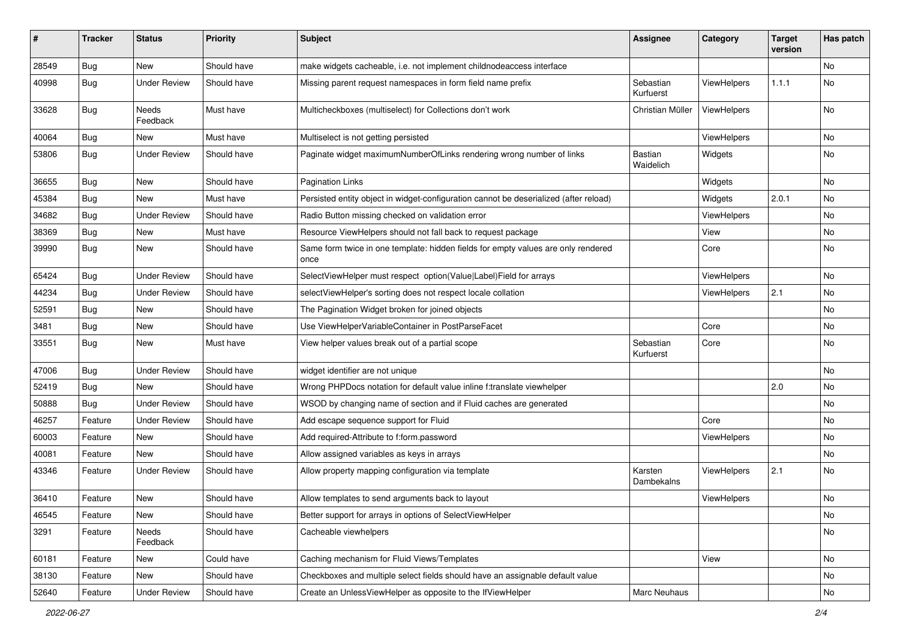| ∦     | <b>Tracker</b> | <b>Status</b>            | <b>Priority</b> | <b>Subject</b>                                                                            | <b>Assignee</b>        | Category           | <b>Target</b><br>version | Has patch |
|-------|----------------|--------------------------|-----------------|-------------------------------------------------------------------------------------------|------------------------|--------------------|--------------------------|-----------|
| 28549 | Bug            | New                      | Should have     | make widgets cacheable, i.e. not implement childnodeaccess interface                      |                        |                    |                          | No        |
| 40998 | Bug            | <b>Under Review</b>      | Should have     | Missing parent request namespaces in form field name prefix                               | Sebastian<br>Kurfuerst | ViewHelpers        | 1.1.1                    | No        |
| 33628 | Bug            | <b>Needs</b><br>Feedback | Must have       | Multicheckboxes (multiselect) for Collections don't work                                  | Christian Müller       | ViewHelpers        |                          | No        |
| 40064 | Bug            | New                      | Must have       | Multiselect is not getting persisted                                                      |                        | <b>ViewHelpers</b> |                          | No.       |
| 53806 | Bug            | <b>Under Review</b>      | Should have     | Paginate widget maximumNumberOfLinks rendering wrong number of links                      | Bastian<br>Waidelich   | Widgets            |                          | No        |
| 36655 | Bug            | <b>New</b>               | Should have     | <b>Pagination Links</b>                                                                   |                        | Widgets            |                          | No        |
| 45384 | Bug            | New                      | Must have       | Persisted entity object in widget-configuration cannot be deserialized (after reload)     |                        | Widgets            | 2.0.1                    | No        |
| 34682 | Bug            | <b>Under Review</b>      | Should have     | Radio Button missing checked on validation error                                          |                        | ViewHelpers        |                          | No        |
| 38369 | Bug            | New                      | Must have       | Resource ViewHelpers should not fall back to request package                              |                        | View               |                          | No        |
| 39990 | Bug            | New                      | Should have     | Same form twice in one template: hidden fields for empty values are only rendered<br>once |                        | Core               |                          | No        |
| 65424 | Bug            | <b>Under Review</b>      | Should have     | SelectViewHelper must respect option(Value Label)Field for arrays                         |                        | ViewHelpers        |                          | No        |
| 44234 | Bug            | <b>Under Review</b>      | Should have     | selectViewHelper's sorting does not respect locale collation                              |                        | ViewHelpers        | 2.1                      | No.       |
| 52591 | Bug            | New                      | Should have     | The Pagination Widget broken for joined objects                                           |                        |                    |                          | No        |
| 3481  | Bug            | New                      | Should have     | Use ViewHelperVariableContainer in PostParseFacet                                         |                        | Core               |                          | No        |
| 33551 | Bug            | New                      | Must have       | View helper values break out of a partial scope                                           | Sebastian<br>Kurfuerst | Core               |                          | No        |
| 47006 | Bug            | <b>Under Review</b>      | Should have     | widget identifier are not unique                                                          |                        |                    |                          | No        |
| 52419 | Bug            | New                      | Should have     | Wrong PHPDocs notation for default value inline f:translate viewhelper                    |                        |                    | 2.0                      | No.       |
| 50888 | Bug            | <b>Under Review</b>      | Should have     | WSOD by changing name of section and if Fluid caches are generated                        |                        |                    |                          | No        |
| 46257 | Feature        | <b>Under Review</b>      | Should have     | Add escape sequence support for Fluid                                                     |                        | Core               |                          | No.       |
| 60003 | Feature        | New                      | Should have     | Add required-Attribute to f:form.password                                                 |                        | ViewHelpers        |                          | No        |
| 40081 | Feature        | New                      | Should have     | Allow assigned variables as keys in arrays                                                |                        |                    |                          | No.       |
| 43346 | Feature        | <b>Under Review</b>      | Should have     | Allow property mapping configuration via template                                         | Karsten<br>Dambekalns  | ViewHelpers        | 2.1                      | No.       |
| 36410 | Feature        | New                      | Should have     | Allow templates to send arguments back to layout                                          |                        | ViewHelpers        |                          | No        |
| 46545 | Feature        | New                      | Should have     | Better support for arrays in options of SelectViewHelper                                  |                        |                    |                          | No        |
| 3291  | Feature        | Needs<br>Feedback        | Should have     | Cacheable viewhelpers                                                                     |                        |                    |                          | No        |
| 60181 | Feature        | New                      | Could have      | Caching mechanism for Fluid Views/Templates                                               |                        | View               |                          | No        |
| 38130 | Feature        | New                      | Should have     | Checkboxes and multiple select fields should have an assignable default value             |                        |                    |                          | No        |
| 52640 | Feature        | <b>Under Review</b>      | Should have     | Create an UnlessViewHelper as opposite to the IfViewHelper                                | Marc Neuhaus           |                    |                          | No        |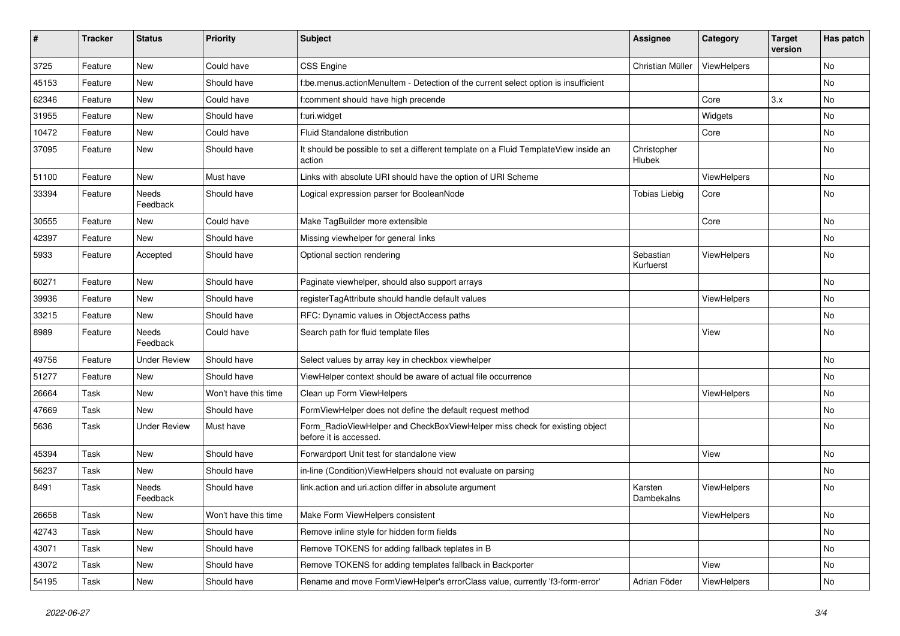| #     | <b>Tracker</b> | <b>Status</b>       | <b>Priority</b>      | Subject                                                                                              | Assignee               | Category    | <b>Target</b><br>version | Has patch |
|-------|----------------|---------------------|----------------------|------------------------------------------------------------------------------------------------------|------------------------|-------------|--------------------------|-----------|
| 3725  | Feature        | New                 | Could have           | <b>CSS Engine</b>                                                                                    | Christian Müller       | ViewHelpers |                          | <b>No</b> |
| 45153 | Feature        | New                 | Should have          | f:be.menus.actionMenuItem - Detection of the current select option is insufficient                   |                        |             |                          | No        |
| 62346 | Feature        | New                 | Could have           | f:comment should have high precende                                                                  |                        | Core        | 3.x                      | No        |
| 31955 | Feature        | New                 | Should have          | f:uri.widget                                                                                         |                        | Widgets     |                          | No        |
| 10472 | Feature        | New                 | Could have           | Fluid Standalone distribution                                                                        |                        | Core        |                          | No        |
| 37095 | Feature        | New                 | Should have          | It should be possible to set a different template on a Fluid TemplateView inside an<br>action        | Christopher<br>Hlubek  |             |                          | No        |
| 51100 | Feature        | <b>New</b>          | Must have            | Links with absolute URI should have the option of URI Scheme                                         |                        | ViewHelpers |                          | <b>No</b> |
| 33394 | Feature        | Needs<br>Feedback   | Should have          | Logical expression parser for BooleanNode                                                            | <b>Tobias Liebig</b>   | Core        |                          | No        |
| 30555 | Feature        | New                 | Could have           | Make TagBuilder more extensible                                                                      |                        | Core        |                          | No        |
| 42397 | Feature        | <b>New</b>          | Should have          | Missing viewhelper for general links                                                                 |                        |             |                          | No        |
| 5933  | Feature        | Accepted            | Should have          | Optional section rendering                                                                           | Sebastian<br>Kurfuerst | ViewHelpers |                          | <b>No</b> |
| 60271 | Feature        | New                 | Should have          | Paginate viewhelper, should also support arrays                                                      |                        |             |                          | No        |
| 39936 | Feature        | New                 | Should have          | registerTagAttribute should handle default values                                                    |                        | ViewHelpers |                          | No        |
| 33215 | Feature        | New                 | Should have          | RFC: Dynamic values in ObjectAccess paths                                                            |                        |             |                          | No        |
| 8989  | Feature        | Needs<br>Feedback   | Could have           | Search path for fluid template files                                                                 |                        | View        |                          | <b>No</b> |
| 49756 | Feature        | <b>Under Review</b> | Should have          | Select values by array key in checkbox viewhelper                                                    |                        |             |                          | <b>No</b> |
| 51277 | Feature        | New                 | Should have          | ViewHelper context should be aware of actual file occurrence                                         |                        |             |                          | No        |
| 26664 | Task           | <b>New</b>          | Won't have this time | Clean up Form ViewHelpers                                                                            |                        | ViewHelpers |                          | <b>No</b> |
| 47669 | Task           | New                 | Should have          | FormViewHelper does not define the default request method                                            |                        |             |                          | No        |
| 5636  | Task           | <b>Under Review</b> | Must have            | Form_RadioViewHelper and CheckBoxViewHelper miss check for existing object<br>before it is accessed. |                        |             |                          | No        |
| 45394 | Task           | New                 | Should have          | Forwardport Unit test for standalone view                                                            |                        | View        |                          | No        |
| 56237 | Task           | New                 | Should have          | in-line (Condition) View Helpers should not evaluate on parsing                                      |                        |             |                          | No        |
| 8491  | Task           | Needs<br>Feedback   | Should have          | link.action and uri.action differ in absolute argument                                               | Karsten<br>Dambekalns  | ViewHelpers |                          | No        |
| 26658 | Task           | New                 | Won't have this time | Make Form ViewHelpers consistent                                                                     |                        | ViewHelpers |                          | No        |
| 42743 | Task           | New                 | Should have          | Remove inline style for hidden form fields                                                           |                        |             |                          | No        |
| 43071 | Task           | New                 | Should have          | Remove TOKENS for adding fallback teplates in B                                                      |                        |             |                          | No        |
| 43072 | Task           | New                 | Should have          | Remove TOKENS for adding templates fallback in Backporter                                            |                        | View        |                          | No        |
| 54195 | Task           | New                 | Should have          | Rename and move FormViewHelper's errorClass value, currently 'f3-form-error'                         | Adrian Föder           | ViewHelpers |                          | No        |